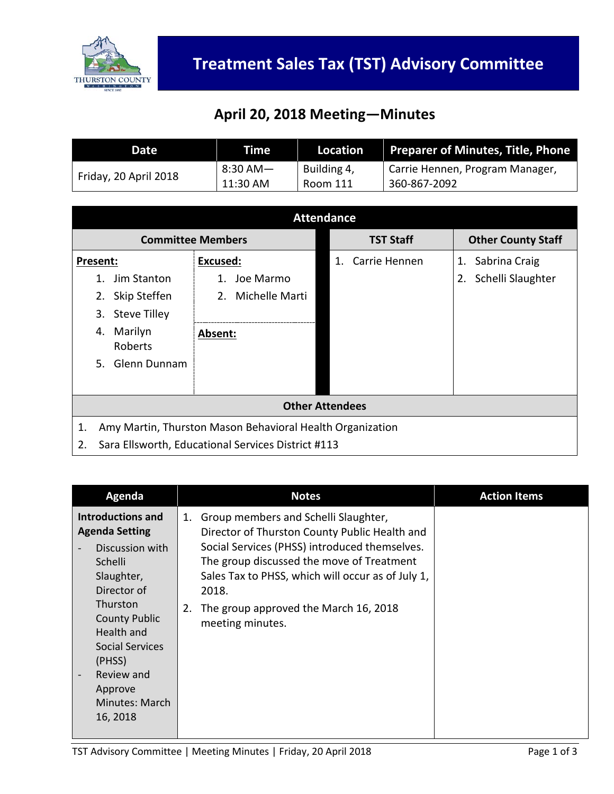

## **April 20, 2018 Meeting—Minutes**

| Date                  | Time          | Location    | <b>Preparer of Minutes, Title, Phone</b> |
|-----------------------|---------------|-------------|------------------------------------------|
| Friday, 20 April 2018 | $8:30$ AM $-$ | Building 4, | Carrie Hennen, Program Manager,          |
|                       | 11:30 AM      | Room 111    | 360-867-2092                             |

| <b>Attendance</b>                                               |                   |                     |                           |  |  |
|-----------------------------------------------------------------|-------------------|---------------------|---------------------------|--|--|
| <b>Committee Members</b>                                        |                   | <b>TST Staff</b>    | <b>Other County Staff</b> |  |  |
| Present:                                                        | <b>Excused:</b>   | Carrie Hennen<br>1. | Sabrina Craig<br>1.       |  |  |
| Jim Stanton<br>1.                                               | Joe Marmo<br>1.   |                     | Schelli Slaughter<br>2.   |  |  |
| Skip Steffen<br>2.                                              | 2. Michelle Marti |                     |                           |  |  |
| <b>Steve Tilley</b><br>3.                                       |                   |                     |                           |  |  |
| Marilyn<br>4.<br>Roberts                                        | Absent:           |                     |                           |  |  |
| Glenn Dunnam<br>5.                                              |                   |                     |                           |  |  |
|                                                                 |                   |                     |                           |  |  |
| <b>Other Attendees</b>                                          |                   |                     |                           |  |  |
| Amy Martin, Thurston Mason Behavioral Health Organization<br>1. |                   |                     |                           |  |  |
| 2.<br>Sara Ellsworth, Educational Services District #113        |                   |                     |                           |  |  |

| Agenda                                                                                                                                                                                                                                                                         | <b>Notes</b>                                                                                                                                                                                                                                                                                                               | <b>Action Items</b> |
|--------------------------------------------------------------------------------------------------------------------------------------------------------------------------------------------------------------------------------------------------------------------------------|----------------------------------------------------------------------------------------------------------------------------------------------------------------------------------------------------------------------------------------------------------------------------------------------------------------------------|---------------------|
| <b>Introductions and</b><br><b>Agenda Setting</b><br>Discussion with<br>Schelli<br>Slaughter,<br>Director of<br>Thurston<br><b>County Public</b><br>Health and<br>Social Services<br>(PHSS)<br>Review and<br>$\overline{\phantom{a}}$<br>Approve<br>Minutes: March<br>16, 2018 | Group members and Schelli Slaughter,<br>1.<br>Director of Thurston County Public Health and<br>Social Services (PHSS) introduced themselves.<br>The group discussed the move of Treatment<br>Sales Tax to PHSS, which will occur as of July 1,<br>2018.<br>The group approved the March 16, 2018<br>2.<br>meeting minutes. |                     |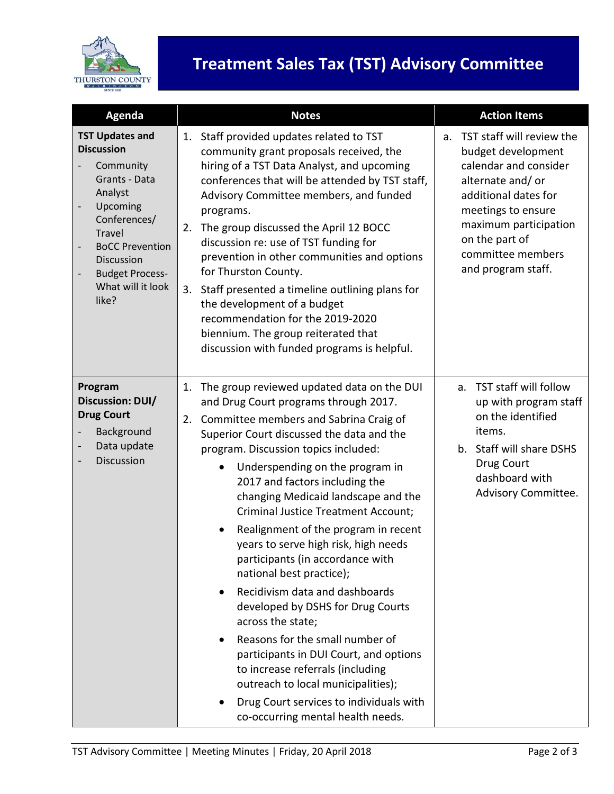

## **Treatment Sales Tax (TST) Advisory Committee**

| <b>Agenda</b>                                                                                                                                                                                                                            | <b>Notes</b>                                                                                                                                                                                                                                                                                                                                                                                                                                                                                                                                                                                                                                                                                                                                                                                                                                                                                                       | <b>Action Items</b>                                                                                                                                                                                                                    |
|------------------------------------------------------------------------------------------------------------------------------------------------------------------------------------------------------------------------------------------|--------------------------------------------------------------------------------------------------------------------------------------------------------------------------------------------------------------------------------------------------------------------------------------------------------------------------------------------------------------------------------------------------------------------------------------------------------------------------------------------------------------------------------------------------------------------------------------------------------------------------------------------------------------------------------------------------------------------------------------------------------------------------------------------------------------------------------------------------------------------------------------------------------------------|----------------------------------------------------------------------------------------------------------------------------------------------------------------------------------------------------------------------------------------|
| <b>TST Updates and</b><br><b>Discussion</b><br>Community<br>Grants - Data<br>Analyst<br>Upcoming<br>Conferences/<br><b>Travel</b><br><b>BoCC Prevention</b><br><b>Discussion</b><br><b>Budget Process-</b><br>What will it look<br>like? | Staff provided updates related to TST<br>1.<br>community grant proposals received, the<br>hiring of a TST Data Analyst, and upcoming<br>conferences that will be attended by TST staff,<br>Advisory Committee members, and funded<br>programs.<br>The group discussed the April 12 BOCC<br>2.<br>discussion re: use of TST funding for<br>prevention in other communities and options<br>for Thurston County.<br>3.<br>Staff presented a timeline outlining plans for<br>the development of a budget<br>recommendation for the 2019-2020<br>biennium. The group reiterated that<br>discussion with funded programs is helpful.                                                                                                                                                                                                                                                                                     | TST staff will review the<br>a.<br>budget development<br>calendar and consider<br>alternate and/or<br>additional dates for<br>meetings to ensure<br>maximum participation<br>on the part of<br>committee members<br>and program staff. |
| Program<br>Discussion: DUI/<br><b>Drug Court</b><br>Background<br>Data update<br>Discussion                                                                                                                                              | The group reviewed updated data on the DUI<br>1.<br>and Drug Court programs through 2017.<br>Committee members and Sabrina Craig of<br>2.<br>Superior Court discussed the data and the<br>program. Discussion topics included:<br>Underspending on the program in<br>$\bullet$<br>2017 and factors including the<br>changing Medicaid landscape and the<br><b>Criminal Justice Treatment Account;</b><br>Realignment of the program in recent<br>years to serve high risk, high needs<br>participants (in accordance with<br>national best practice);<br>Recidivism data and dashboards<br>$\bullet$<br>developed by DSHS for Drug Courts<br>across the state;<br>Reasons for the small number of<br>$\bullet$<br>participants in DUI Court, and options<br>to increase referrals (including<br>outreach to local municipalities);<br>Drug Court services to individuals with<br>co-occurring mental health needs. | TST staff will follow<br>$a_{\cdot}$<br>up with program staff<br>on the identified<br>items.<br>b. Staff will share DSHS<br>Drug Court<br>dashboard with<br>Advisory Committee.                                                        |